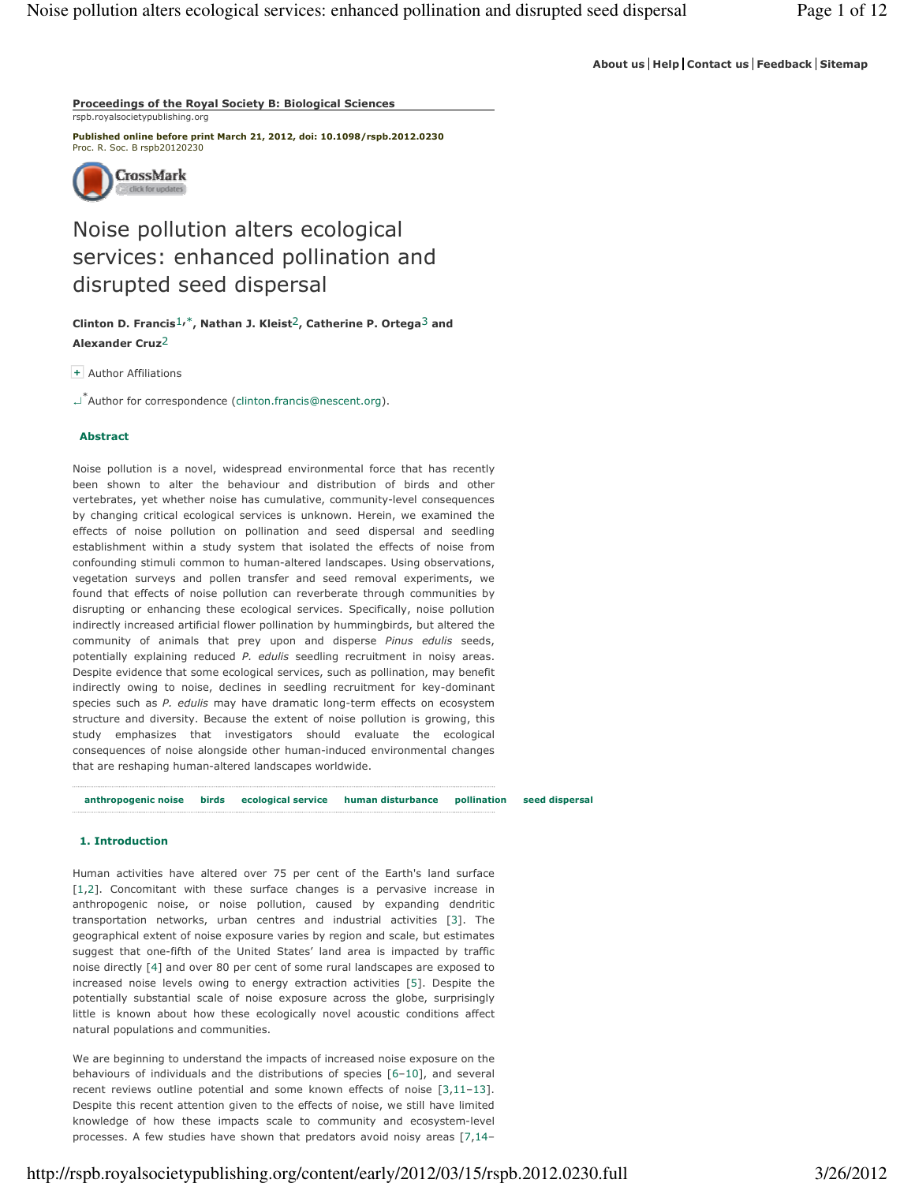About us | Help | Contact us | Feedback | Sitemap

Proceedings of the Royal Society B: Biological Sciences

Published online before print March 21, 2012, doi: 10.1098/rspb.2012.0230 Proc. R. Soc. B rspb20120230



rspb.royalsocietypublishing.org

# Noise pollution alters ecological services: enhanced pollination and disrupted seed dispersal

Clinton D. Francis $1/r^*$ , Nathan J. Kleist<sup>2</sup>, Catherine P. Ortega<sup>3</sup> and **Alexander Cruz**<sup>2</sup>

 $+$  Author Affiliations

 $\overrightarrow{A}^*$ Author for correspondence (clinton.francis@nescent.org).

# **Abstract**

Noise pollution is a novel, widespread environmental force that has recently been shown to alter the behaviour and distribution of birds and other vertebrates, yet whether noise has cumulative, community-level consequences by changing critical ecological services is unknown. Herein, we examined the effects of noise pollution on pollination and seed dispersal and seedling establishment within a study system that isolated the effects of noise from confounding stimuli common to human-altered landscapes. Using observations, vegetation surveys and pollen transfer and seed removal experiments, we found that effects of noise pollution can reverberate through communities by disrupting or enhancing these ecological services. Specifically, noise pollution indirectly increased artificial flower pollination by hummingbirds, but altered the community of animals that prey upon and disperse Pinus edulis seeds, potentially explaining reduced P. edulis seedling recruitment in noisy areas. Despite evidence that some ecological services, such as pollination, may benefit indirectly owing to noise, declines in seedling recruitment for key-dominant species such as P. edulis may have dramatic long-term effects on ecosystem structure and diversity. Because the extent of noise pollution is growing, this study emphasizes that investigators should evaluate the ecological consequences of noise alongside other human-induced environmental changes that are reshaping human-altered landscapes worldwide.

anthropogenic noise birds ecological service human disturbance pollination seed dispersal

# 1. Introduction

Human activities have altered over 75 per cent of the Earth's land surface [1,2]. Concomitant with these surface changes is a pervasive increase in anthropogenic noise, or noise pollution, caused by expanding dendritic transportation networks, urban centres and industrial activities [3]. The geographical extent of noise exposure varies by region and scale, but estimates suggest that one-fifth of the United States' land area is impacted by traffic noise directly [4] and over 80 per cent of some rural landscapes are exposed to increased noise levels owing to energy extraction activities [5]. Despite the potentially substantial scale of noise exposure across the globe, surprisingly little is known about how these ecologically novel acoustic conditions affect natural populations and communities.

We are beginning to understand the impacts of increased noise exposure on the behaviours of individuals and the distributions of species [6-10], and several recent reviews outline potential and some known effects of noise [3,11-13]. Despite this recent attention given to the effects of noise, we still have limited knowledge of how these impacts scale to community and ecosystem-level processes. A few studies have shown that predators avoid noisy areas [7,14-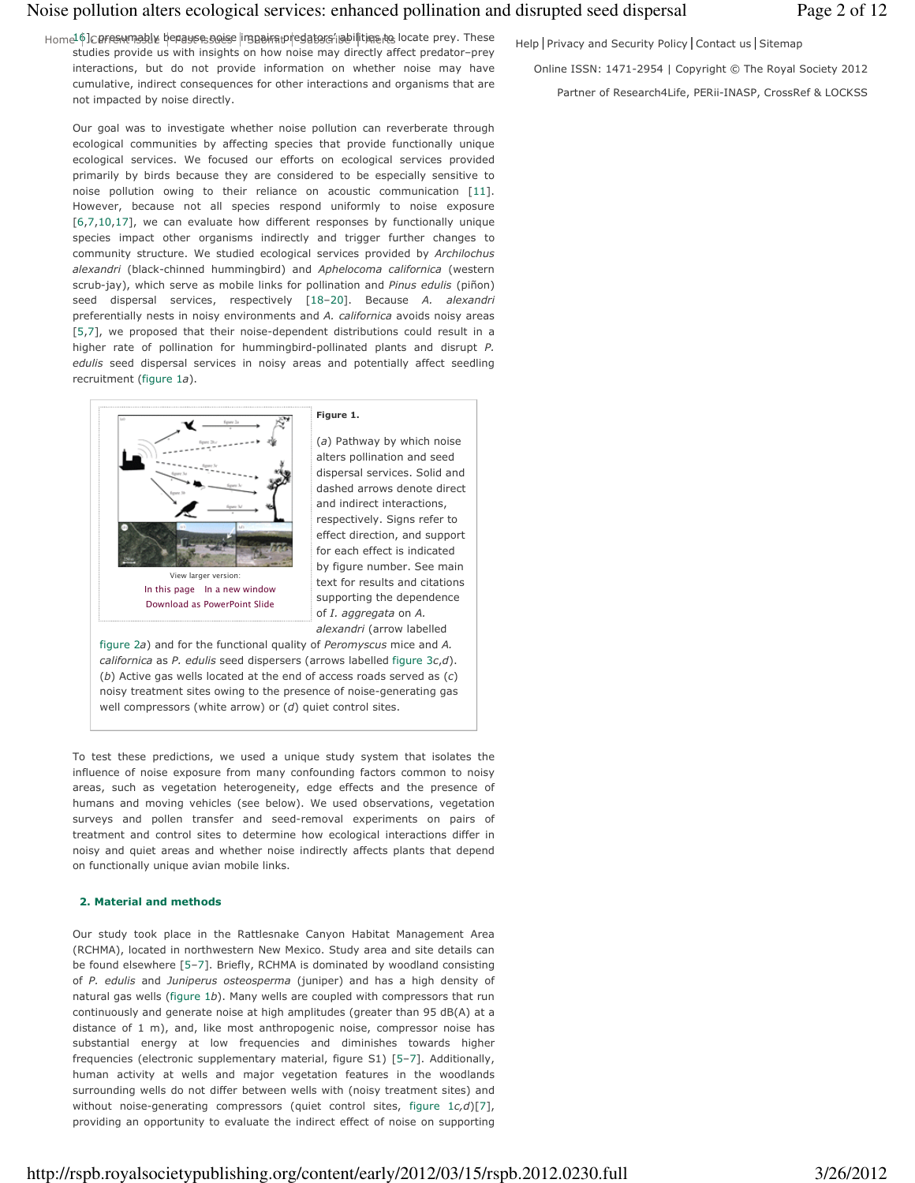# Noise pollution alters ecological services: enhanced pollination and disrupted seed dispersal

Home \$]CBFRENIMBBILLY because some lingualitation edators jubilities to locate prey. These studies provide us with insights on how noise may directly affect predator-prey interactions, but do not provide information on whether noise may have cumulative, indirect consequences for other interactions and organisms that are not impacted by noise directly.

Our goal was to investigate whether noise pollution can reverberate through ecological communities by affecting species that provide functionally unique ecological services. We focused our efforts on ecological services provided primarily by birds because they are considered to be especially sensitive to noise pollution owing to their reliance on acoustic communication [11]. However, because not all species respond uniformly to noise exposure [6,7,10,17], we can evaluate how different responses by functionally unique species impact other organisms indirectly and trigger further changes to community structure. We studied ecological services provided by Archilochus alexandri (black-chinned hummingbird) and Aphelocoma californica (western scrub-jay), which serve as mobile links for pollination and Pinus edulis (piñon) seed dispersal services, respectively [18-20]. Because A. alexandri preferentially nests in noisy environments and A. californica avoids noisy areas [5,7], we proposed that their noise-dependent distributions could result in a higher rate of pollination for hummingbird-pollinated plants and disrupt P. edulis seed dispersal services in noisy areas and potentially affect seedling recruitment (figure 1a).



## Figure 1.

(a) Pathway by which noise alters pollination and seed dispersal services. Solid and dashed arrows denote direct and indirect interactions, respectively. Signs refer to effect direction, and support for each effect is indicated by figure number. See main text for results and citations supporting the dependence of I. aggregata on A. alexandri (arrow labelled

figure 2a) and for the functional quality of Peromyscus mice and A. californica as P. edulis seed dispersers (arrows labelled figure 3c,d). (b) Active gas wells located at the end of access roads served as  $(c)$ noisy treatment sites owing to the presence of noise-generating gas well compressors (white arrow) or  $(d)$  quiet control sites.

To test these predictions, we used a unique study system that isolates the influence of noise exposure from many confounding factors common to noisy areas, such as vegetation heterogeneity, edge effects and the presence of humans and moving vehicles (see below). We used observations, vegetation surveys and pollen transfer and seed-removal experiments on pairs of treatment and control sites to determine how ecological interactions differ in noisy and quiet areas and whether noise indirectly affects plants that depend on functionally unique avian mobile links.

## 2. Material and methods

Our study took place in the Rattlesnake Canyon Habitat Management Area (RCHMA), located in northwestern New Mexico. Study area and site details can be found elsewhere [5-7]. Briefly, RCHMA is dominated by woodland consisting of P. edulis and Juniperus osteosperma (juniper) and has a high density of natural gas wells (figure 1b). Many wells are coupled with compressors that run continuously and generate noise at high amplitudes (greater than 95 dB(A) at a distance of 1 m), and, like most anthropogenic noise, compressor noise has substantial energy at low frequencies and diminishes towards higher frequencies (electronic supplementary material, figure S1) [5-7]. Additionally, human activity at wells and major vegetation features in the woodlands surrounding wells do not differ between wells with (noisy treatment sites) and without noise-generating compressors (quiet control sites, figure 1c,d)[7], providing an opportunity to evaluate the indirect effect of noise on supporting

Help Privacy and Security Policy Contact us Sitemap

Online ISSN: 1471-2954 | Copyright © The Royal Society 2012 Partner of Research4Life, PERii-INASP, CrossRef & LOCKSS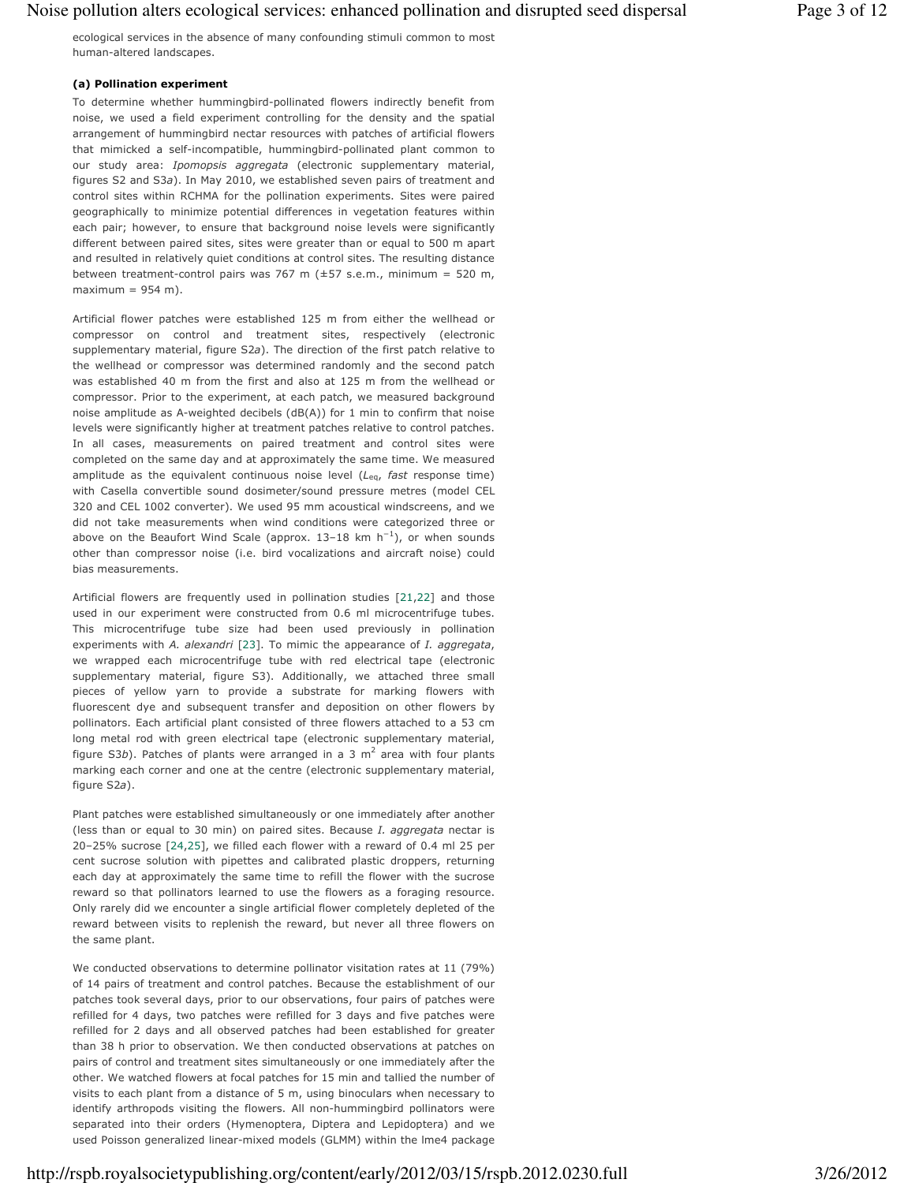ecological services in the absence of many confounding stimuli common to most human-altered landscapes.

# (a) Pollination experiment

To determine whether hummingbird-pollinated flowers indirectly benefit from noise, we used a field experiment controlling for the density and the spatial arrangement of hummingbird nectar resources with patches of artificial flowers that mimicked a self-incompatible, hummingbird-pollinated plant common to our study area: Ipomopsis aggregata (electronic supplementary material, figures S2 and S3a). In May 2010, we established seven pairs of treatment and control sites within RCHMA for the pollination experiments. Sites were paired geographically to minimize potential differences in vegetation features within each pair; however, to ensure that background noise levels were significantly different between paired sites, sites were greater than or equal to 500 m apart and resulted in relatively quiet conditions at control sites. The resulting distance between treatment-control pairs was 767 m  $(\pm 57 \text{ s.e.m.}, \text{minimum} = 520 \text{ m},$  $maximum = 954 m$ .

Artificial flower patches were established 125 m from either the wellhead or compressor on control and treatment sites, respectively (electronic supplementary material, figure S2a). The direction of the first patch relative to the wellhead or compressor was determined randomly and the second patch was established 40 m from the first and also at 125 m from the wellhead or compressor. Prior to the experiment, at each patch, we measured background noise amplitude as A-weighted decibels (dB(A)) for 1 min to confirm that noise levels were significantly higher at treatment patches relative to control patches. In all cases, measurements on paired treatment and control sites were completed on the same day and at approximately the same time. We measured amplitude as the equivalent continuous noise level ( $L_{eq}$ , fast response time) with Casella convertible sound dosimeter/sound pressure metres (model CEL 320 and CEL 1002 converter). We used 95 mm acoustical windscreens, and we did not take measurements when wind conditions were categorized three or above on the Beaufort Wind Scale (approx.  $13-18$  km  $h^{-1}$ ), or when sounds other than compressor noise (i.e. bird vocalizations and aircraft noise) could bias measurements.

Artificial flowers are frequently used in pollination studies [21,22] and those used in our experiment were constructed from 0.6 ml microcentrifuge tubes. This microcentrifuge tube size had been used previously in pollination experiments with A. alexandri [23]. To mimic the appearance of I. aggregata, we wrapped each microcentrifuge tube with red electrical tape (electronic supplementary material, figure S3). Additionally, we attached three small pieces of yellow yarn to provide a substrate for marking flowers with fluorescent dye and subsequent transfer and deposition on other flowers by pollinators. Each artificial plant consisted of three flowers attached to a 53 cm long metal rod with green electrical tape (electronic supplementary material, figure S3b). Patches of plants were arranged in a 3  $m^2$  area with four plants marking each corner and one at the centre (electronic supplementary material, figure S2a).

Plant patches were established simultaneously or one immediately after another (less than or equal to 30 min) on paired sites. Because I. aggregata nectar is 20-25% sucrose [24,25], we filled each flower with a reward of 0.4 ml 25 per cent sucrose solution with pipettes and calibrated plastic droppers, returning each day at approximately the same time to refill the flower with the sucrose reward so that pollinators learned to use the flowers as a foraging resource. Only rarely did we encounter a single artificial flower completely depleted of the reward between visits to replenish the reward, but never all three flowers on the same plant.

We conducted observations to determine pollinator visitation rates at 11 (79%) of 14 pairs of treatment and control patches. Because the establishment of our patches took several days, prior to our observations, four pairs of patches were refilled for 4 days, two patches were refilled for 3 days and five patches were refilled for 2 days and all observed patches had been established for greater than 38 h prior to observation. We then conducted observations at patches on pairs of control and treatment sites simultaneously or one immediately after the other. We watched flowers at focal patches for 15 min and tallied the number of visits to each plant from a distance of 5 m, using binoculars when necessary to identify arthropods visiting the flowers. All non-hummingbird pollinators were separated into their orders (Hymenoptera, Diptera and Lepidoptera) and we used Poisson generalized linear-mixed models (GLMM) within the Ime4 package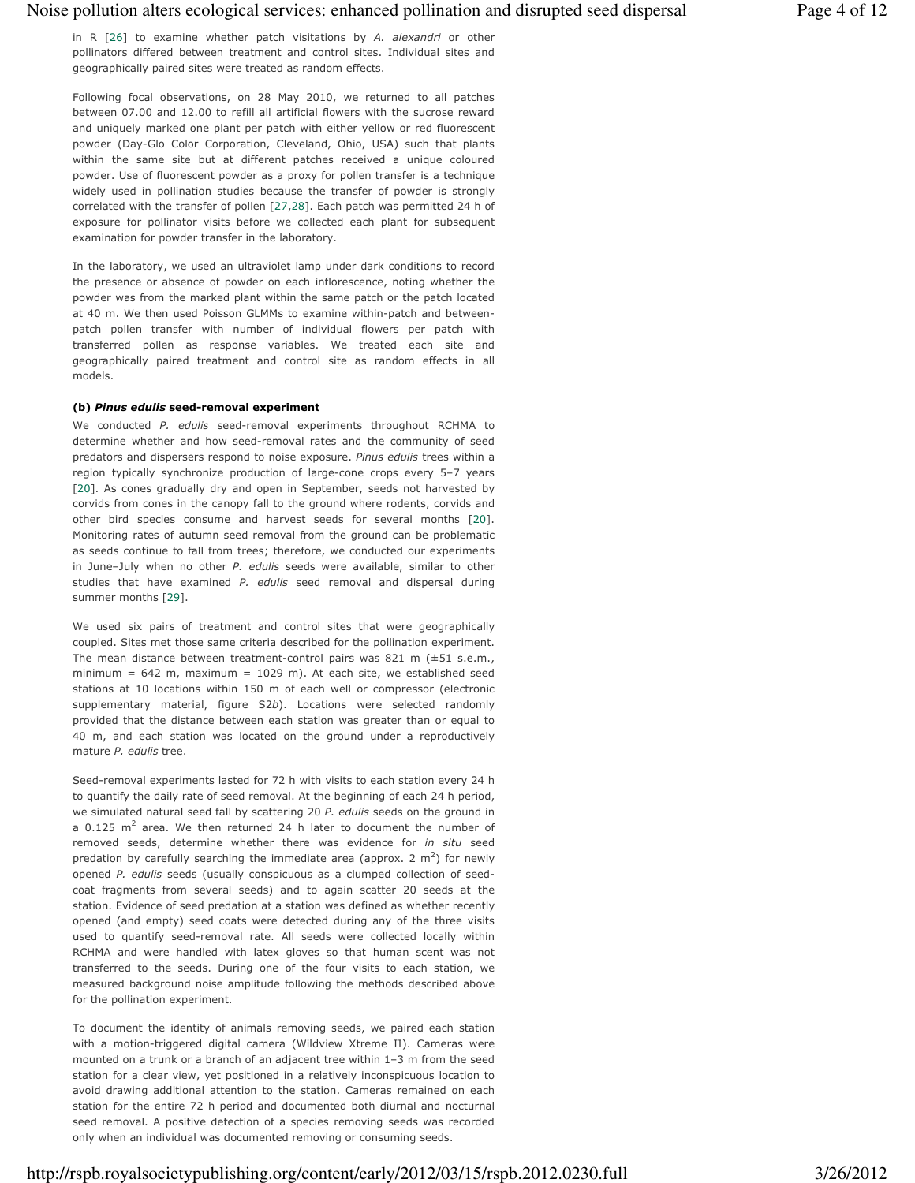in R [26] to examine whether patch visitations by A. alexandri or other pollinators differed between treatment and control sites. Individual sites and geographically paired sites were treated as random effects.

Following focal observations, on 28 May 2010, we returned to all patches between 07.00 and 12.00 to refill all artificial flowers with the sucrose reward and uniquely marked one plant per patch with either yellow or red fluorescent powder (Day-Glo Color Corporation, Cleveland, Ohio, USA) such that plants within the same site but at different patches received a unique coloured powder. Use of fluorescent powder as a proxy for pollen transfer is a technique widely used in pollination studies because the transfer of powder is strongly correlated with the transfer of pollen [27,28]. Each patch was permitted 24 h of exposure for pollinator visits before we collected each plant for subsequent examination for powder transfer in the laboratory.

In the laboratory, we used an ultraviolet lamp under dark conditions to record the presence or absence of powder on each inflorescence, noting whether the powder was from the marked plant within the same patch or the patch located at 40 m. We then used Poisson GLMMs to examine within-patch and betweenpatch pollen transfer with number of individual flowers per patch with transferred pollen as response variables. We treated each site and geographically paired treatment and control site as random effects in all models.

## (b) Pinus edulis seed-removal experiment

We conducted P. edulis seed-removal experiments throughout RCHMA to determine whether and how seed-removal rates and the community of seed predators and dispersers respond to noise exposure. Pinus edulis trees within a region typically synchronize production of large-cone crops every 5-7 years [20]. As cones gradually dry and open in September, seeds not harvested by corvids from cones in the canopy fall to the ground where rodents, corvids and other bird species consume and harvest seeds for several months [20]. Monitoring rates of autumn seed removal from the ground can be problematic as seeds continue to fall from trees; therefore, we conducted our experiments in June-July when no other P. edulis seeds were available, similar to other studies that have examined P. edulis seed removal and dispersal during summer months [29].

We used six pairs of treatment and control sites that were geographically coupled. Sites met those same criteria described for the pollination experiment. The mean distance between treatment-control pairs was 821 m  $(\pm 51 \text{ s.e.m.},$ minimum =  $642$  m, maximum = 1029 m). At each site, we established seed stations at 10 locations within 150 m of each well or compressor (electronic supplementary material, figure S2b). Locations were selected randomly provided that the distance between each station was greater than or equal to 40 m, and each station was located on the ground under a reproductively mature P. edulis tree.

Seed-removal experiments lasted for 72 h with visits to each station every 24 h to quantify the daily rate of seed removal. At the beginning of each 24 h period, we simulated natural seed fall by scattering 20 P. edulis seeds on the ground in a 0.125  $m^2$  area. We then returned 24 h later to document the number of removed seeds, determine whether there was evidence for in situ seed predation by carefully searching the immediate area (approx. 2  $m<sup>2</sup>$ ) for newly opened P. edulis seeds (usually conspicuous as a clumped collection of seedcoat fragments from several seeds) and to again scatter 20 seeds at the station. Evidence of seed predation at a station was defined as whether recently opened (and empty) seed coats were detected during any of the three visits used to quantify seed-removal rate. All seeds were collected locally within RCHMA and were handled with latex gloves so that human scent was not transferred to the seeds. During one of the four visits to each station, we measured background noise amplitude following the methods described above for the pollination experiment.

To document the identity of animals removing seeds, we paired each station with a motion-triggered digital camera (Wildview Xtreme II). Cameras were mounted on a trunk or a branch of an adjacent tree within 1-3 m from the seed station for a clear view, yet positioned in a relatively inconspicuous location to avoid drawing additional attention to the station. Cameras remained on each station for the entire 72 h period and documented both diurnal and nocturnal seed removal. A positive detection of a species removing seeds was recorded only when an individual was documented removing or consuming seeds.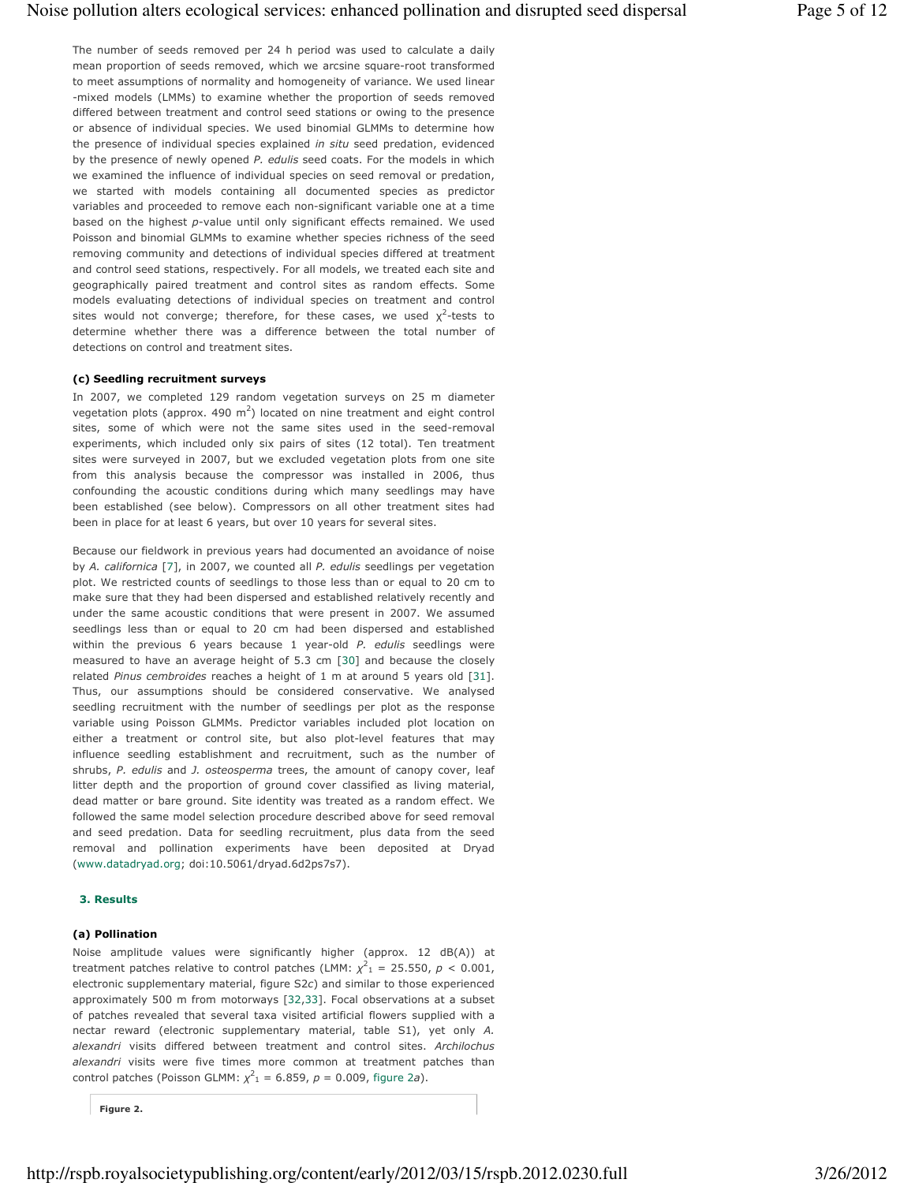The number of seeds removed per 24 h period was used to calculate a daily mean proportion of seeds removed, which we arcsine square-root transformed to meet assumptions of normality and homogeneity of variance. We used linear -mixed models (LMMs) to examine whether the proportion of seeds removed differed between treatment and control seed stations or owing to the presence or absence of individual species. We used binomial GLMMs to determine how the presence of individual species explained in situ seed predation, evidenced by the presence of newly opened P. edulis seed coats. For the models in which we examined the influence of individual species on seed removal or predation, we started with models containing all documented species as predictor variables and proceeded to remove each non-significant variable one at a time based on the highest p-value until only significant effects remained. We used Poisson and binomial GLMMs to examine whether species richness of the seed removing community and detections of individual species differed at treatment and control seed stations, respectively. For all models, we treated each site and geographically paired treatment and control sites as random effects. Some models evaluating detections of individual species on treatment and control sites would not converge; therefore, for these cases, we used  $\chi^2$ -tests to determine whether there was a difference between the total number of detections on control and treatment sites.

## (c) Seedling recruitment surveys

In 2007, we completed 129 random vegetation surveys on 25 m diameter vegetation plots (approx. 490  $m<sup>2</sup>$ ) located on nine treatment and eight control sites, some of which were not the same sites used in the seed-removal experiments, which included only six pairs of sites (12 total). Ten treatment sites were surveyed in 2007, but we excluded vegetation plots from one site from this analysis because the compressor was installed in 2006, thus confounding the acoustic conditions during which many seedlings may have been established (see below). Compressors on all other treatment sites had been in place for at least 6 years, but over 10 years for several sites.

Because our fieldwork in previous years had documented an avoidance of noise by A. californica [7], in 2007, we counted all P. edulis seedlings per vegetation plot. We restricted counts of seedlings to those less than or equal to 20 cm to make sure that they had been dispersed and established relatively recently and under the same acoustic conditions that were present in 2007. We assumed seedlings less than or equal to 20 cm had been dispersed and established within the previous 6 years because 1 year-old P. edulis seedlings were measured to have an average height of 5.3 cm [30] and because the closely related Pinus cembroides reaches a height of 1 m at around 5 years old [31]. Thus, our assumptions should be considered conservative. We analysed seedling recruitment with the number of seedlings per plot as the response variable using Poisson GLMMs. Predictor variables included plot location on either a treatment or control site, but also plot-level features that may influence seedling establishment and recruitment, such as the number of shrubs, P. edulis and J. osteosperma trees, the amount of canopy cover, leaf litter depth and the proportion of ground cover classified as living material, dead matter or bare ground. Site identity was treated as a random effect. We followed the same model selection procedure described above for seed removal and seed predation. Data for seedling recruitment, plus data from the seed removal and pollination experiments have been deposited at Dryad (www.datadryad.org; doi:10.5061/dryad.6d2ps7s7).

#### 3. Results

## (a) Pollination

Noise amplitude values were significantly higher (approx. 12 dB(A)) at treatment patches relative to control patches (LMM:  $\chi^2$ <sub>1</sub> = 25.550,  $p$  < 0.001, electronic supplementary material, figure S2c) and similar to those experienced approximately 500 m from motorways [32,33]. Focal observations at a subset of patches revealed that several taxa visited artificial flowers supplied with a nectar reward (electronic supplementary material, table S1), yet only A. alexandri visits differed between treatment and control sites. Archilochus alexandri visits were five times more common at treatment patches than control patches (Poisson GLMM:  $\chi^2$ <sub>1</sub> = 6.859, p = 0.009, figure 2a).

Figure 2.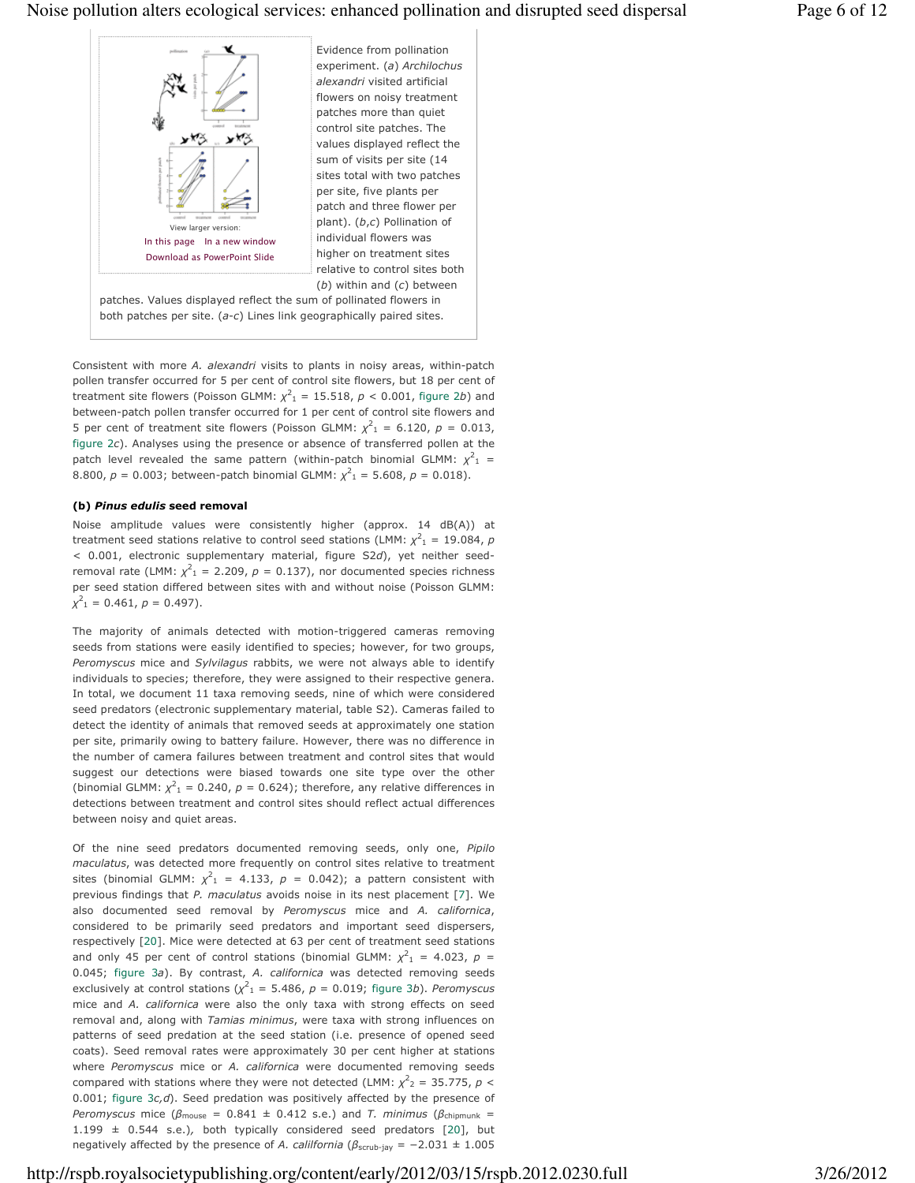

Consistent with more A. alexandri visits to plants in noisy areas, within-patch pollen transfer occurred for 5 per cent of control site flowers, but 18 per cent of treatment site flowers (Poisson GLMM:  $\chi^2$ <sub>1</sub> = 15.518,  $p$  < 0.001, figure 2*b*) and between-patch pollen transfer occurred for 1 per cent of control site flowers and 5 per cent of treatment site flowers (Poisson GLMM:  $\chi^2$ <sub>1</sub> = 6.120, p = 0.013, figure 2c). Analyses using the presence or absence of transferred pollen at the patch level revealed the same pattern (within-patch binomial GLMM:  $\chi^2$ <sub>1</sub> = 8.800,  $p = 0.003$ ; between-patch binomial GLMM:  $\chi^2$ <sub>1</sub> = 5.608,  $p = 0.018$ ).

#### (b) Pinus edulis seed removal

Noise amplitude values were consistently higher (approx. 14 dB(A)) at treatment seed stations relative to control seed stations (LMM:  $\chi^2$ <sub>1</sub> = 19.084, p < 0.001, electronic supplementary material, figure S2d), yet neither seedremoval rate (LMM:  $\chi^2$ <sub>1</sub> = 2.209, p = 0.137), nor documented species richness per seed station differed between sites with and without noise (Poisson GLMM:  $\chi^2$ <sub>1</sub> = 0.461,  $p$  = 0.497).

The majority of animals detected with motion-triggered cameras removing seeds from stations were easily identified to species; however, for two groups, Peromyscus mice and Sylvilagus rabbits, we were not always able to identify individuals to species; therefore, they were assigned to their respective genera. In total, we document 11 taxa removing seeds, nine of which were considered seed predators (electronic supplementary material, table S2). Cameras failed to detect the identity of animals that removed seeds at approximately one station per site, primarily owing to battery failure. However, there was no difference in the number of camera failures between treatment and control sites that would suggest our detections were biased towards one site type over the other (binomial GLMM:  $\chi^2$ <sub>1</sub> = 0.240,  $p$  = 0.624); therefore, any relative differences in detections between treatment and control sites should reflect actual differences between noisy and quiet areas.

Of the nine seed predators documented removing seeds, only one, Pipilo maculatus, was detected more frequently on control sites relative to treatment sites (binomial GLMM:  $\chi^2$ <sub>1</sub> = 4.133, p = 0.042); a pattern consistent with previous findings that P. maculatus avoids noise in its nest placement [7]. We also documented seed removal by Peromyscus mice and A. californica, considered to be primarily seed predators and important seed dispersers, respectively [20]. Mice were detected at 63 per cent of treatment seed stations and only 45 per cent of control stations (binomial GLMM:  $\chi^2$ <sub>1</sub> = 4.023, p = 0.045; figure 3a). By contrast, A. californica was detected removing seeds exclusively at control stations ( $\chi^2$ <sub>1</sub> = 5.486, p = 0.019; figure 3b). Peromyscus mice and A. californica were also the only taxa with strong effects on seed removal and, along with Tamias minimus, were taxa with strong influences on patterns of seed predation at the seed station (i.e. presence of opened seed coats). Seed removal rates were approximately 30 per cent higher at stations where Peromyscus mice or A. californica were documented removing seeds compared with stations where they were not detected (LMM:  $\chi^2$ <sub>2</sub> = 35.775, p <  $0.001$ ; figure  $3c,d$ ). Seed predation was positively affected by the presence of Peromyscus mice ( $\beta_{\text{mouse}} = 0.841 \pm 0.412$  s.e.) and T. minimus ( $\beta_{\text{chipmunk}} =$  $1.199 \pm 0.544$  s.e.), both typically considered seed predators [20], but negatively affected by the presence of A. calilfornia ( $\beta_{\text{scrub-jay}} = -2.031 \pm 1.005$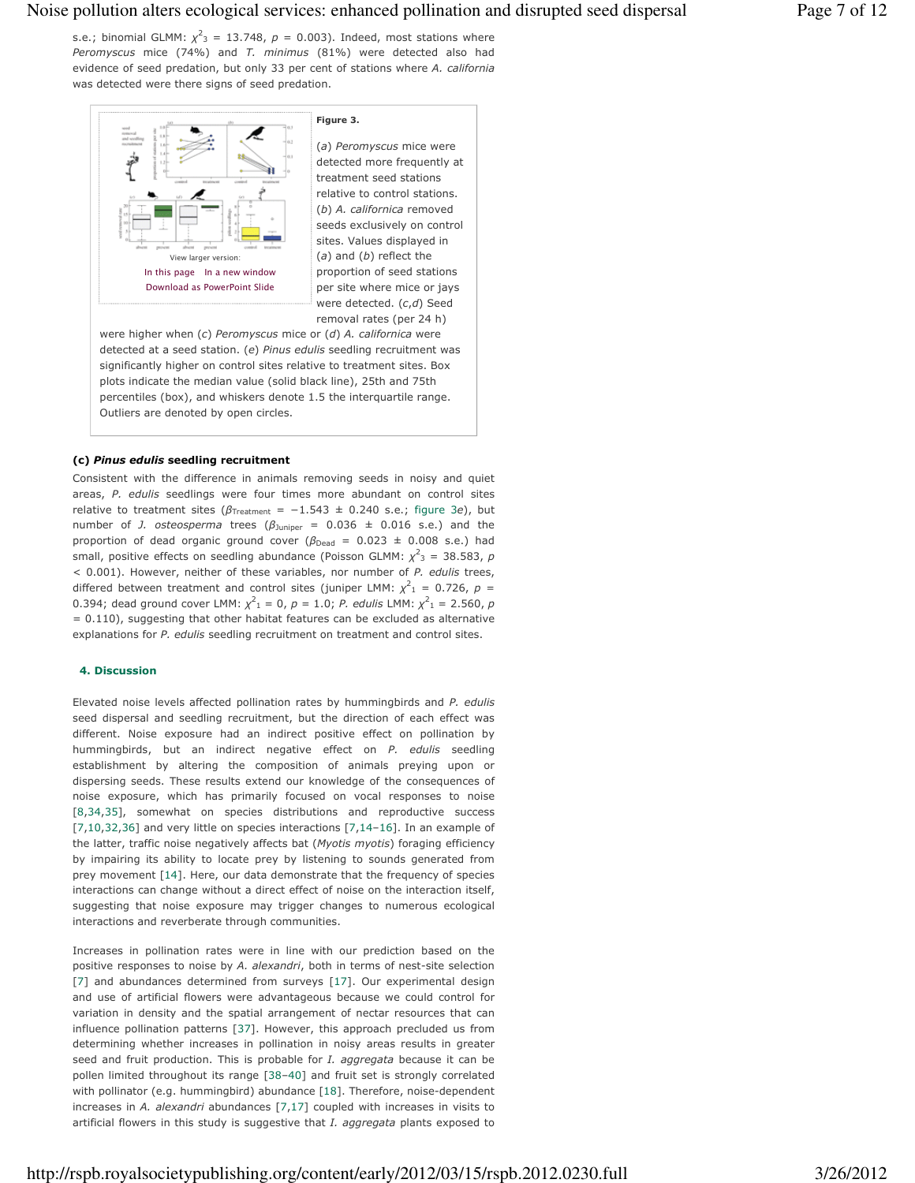# Noise pollution alters ecological services: enhanced pollination and disrupted seed dispersal

s.e.; binomial GLMM:  $\chi^2$ <sub>3</sub> = 13.748,  $p$  = 0.003). Indeed, most stations where Peromyscus mice (74%) and T. minimus (81%) were detected also had evidence of seed predation, but only 33 per cent of stations where A. california was detected were there signs of seed predation.



Figure 3.

(a) Peromyscus mice were detected more frequently at treatment seed stations relative to control stations. (b) A. californica removed seeds exclusively on control sites. Values displayed in (a) and  $(b)$  reflect the proportion of seed stations per site where mice or jays were detected. (c,d) Seed removal rates (per 24 h)

were higher when  $(c)$  Peromyscus mice or  $(d)$  A. californica were detected at a seed station. (e) Pinus edulis seedling recruitment was significantly higher on control sites relative to treatment sites. Box plots indicate the median value (solid black line), 25th and 75th percentiles (box), and whiskers denote 1.5 the interquartile range. Outliers are denoted by open circles.

#### (c) Pinus edulis seedling recruitment

Consistent with the difference in animals removing seeds in noisy and quiet areas, P. edulis seedlings were four times more abundant on control sites relative to treatment sites ( $\beta$ <sub>Treatment</sub> = -1.543  $\pm$  0.240 s.e.; figure 3e), but number of *J. osteosperma* trees ( $\beta_{\text{Juniper}} = 0.036 \pm 0.016$  s.e.) and the proportion of dead organic ground cover ( $\beta_{\text{Dead}} = 0.023 \pm 0.008$  s.e.) had small, positive effects on seedling abundance (Poisson GLMM:  $\chi^2$ <sub>3</sub> = 38.583, p < 0.001). However, neither of these variables, nor number of P. edulis trees, differed between treatment and control sites (juniper LMM:  $\chi^2$ <sub>1</sub> = 0.726, p = 0.394; dead ground cover LMM:  $\chi^2$ <sub>1</sub> = 0, p = 1.0; P. edulis LMM:  $\chi^2$ <sub>1</sub> = 2.560, p  $= 0.110$ ), suggesting that other habitat features can be excluded as alternative explanations for P. edulis seedling recruitment on treatment and control sites.

#### 4. Discussion

Elevated noise levels affected pollination rates by hummingbirds and P. edulis seed dispersal and seedling recruitment, but the direction of each effect was different. Noise exposure had an indirect positive effect on pollination by hummingbirds, but an indirect negative effect on P. edulis seedling establishment by altering the composition of animals preying upon or dispersing seeds. These results extend our knowledge of the consequences of noise exposure, which has primarily focused on vocal responses to noise [8,34,35], somewhat on species distributions and reproductive success  $[7,10,32,36]$  and very little on species interactions  $[7,14-16]$ . In an example of the latter, traffic noise negatively affects bat (Myotis myotis) foraging efficiency by impairing its ability to locate prey by listening to sounds generated from prey movement [14]. Here, our data demonstrate that the frequency of species interactions can change without a direct effect of noise on the interaction itself, suggesting that noise exposure may trigger changes to numerous ecological interactions and reverberate through communities.

Increases in pollination rates were in line with our prediction based on the positive responses to noise by A. alexandri, both in terms of nest-site selection [7] and abundances determined from surveys [17]. Our experimental design and use of artificial flowers were advantageous because we could control for variation in density and the spatial arrangement of nectar resources that can influence pollination patterns [37]. However, this approach precluded us from determining whether increases in pollination in noisy areas results in greater seed and fruit production. This is probable for I. aggregata because it can be pollen limited throughout its range [38-40] and fruit set is strongly correlated with pollinator (e.g. hummingbird) abundance [18]. Therefore, noise-dependent increases in A. alexandri abundances [7,17] coupled with increases in visits to artificial flowers in this study is suggestive that I. aggregata plants exposed to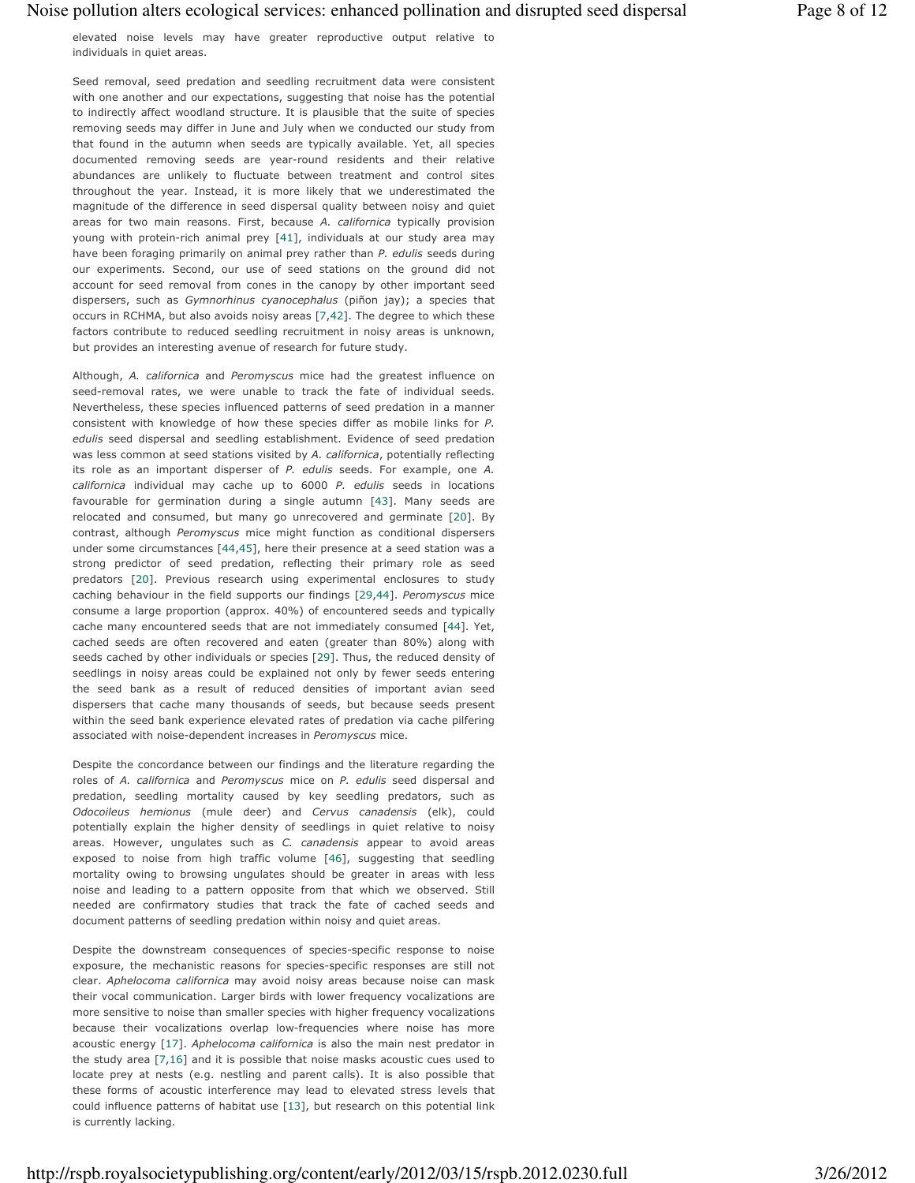elevated noise levels may have greater reproductive output relative to individuals in quiet areas.

Seed removal, seed predation and seedling recruitment data were consistent with one another and our expectations, suggesting that noise has the potential to indirectly affect woodland structure. It is plausible that the suite of species removing seeds may differ in June and July when we conducted our study from that found in the autumn when seeds are typically available. Yet, all species documented removing seeds are year-round residents and their relative abundances are unlikely to fluctuate between treatment and control sites throughout the year. Instead, it is more likely that we underestimated the magnitude of the difference in seed dispersal quality between noisy and quiet areas for two main reasons. First, because A. californica typically provision young with protein-rich animal prey [41], individuals at our study area may have been foraging primarily on animal prey rather than P. edulis seeds during our experiments. Second, our use of seed stations on the ground did not account for seed removal from cones in the canopy by other important seed dispersers, such as Gymnorhinus cyanocephalus (piñon jay); a species that occurs in RCHMA, but also avoids noisy areas [7,42]. The degree to which these factors contribute to reduced seedling recruitment in noisy areas is unknown, but provides an interesting avenue of research for future study.

Although, A. californica and Peromyscus mice had the greatest influence on seed-removal rates, we were unable to track the fate of individual seeds. Nevertheless, these species influenced patterns of seed predation in a manner consistent with knowledge of how these species differ as mobile links for P. edulis seed dispersal and seedling establishment. Evidence of seed predation was less common at seed stations visited by A. californica, potentially reflecting its role as an important disperser of P. edulis seeds. For example, one A. californica individual may cache up to 6000 P. edulis seeds in locations favourable for germination during a single autumn [43]. Many seeds are relocated and consumed, but many go unrecovered and germinate [20]. By contrast, although Peromyscus mice might function as conditional dispersers under some circumstances [44,45], here their presence at a seed station was a strong predictor of seed predation, reflecting their primary role as seed predators [20]. Previous research using experimental enclosures to study caching behaviour in the field supports our findings [29,44]. Peromyscus mice consume a large proportion (approx. 40%) of encountered seeds and typically cache many encountered seeds that are not immediately consumed [44]. Yet, cached seeds are often recovered and eaten (greater than 80%) along with seeds cached by other individuals or species [29]. Thus, the reduced density of seedlings in noisy areas could be explained not only by fewer seeds entering the seed bank as a result of reduced densities of important avian seed dispersers that cache many thousands of seeds, but because seeds present within the seed bank experience elevated rates of predation via cache pilfering associated with noise-dependent increases in Peromyscus mice.

Despite the concordance between our findings and the literature regarding the roles of A. californica and Peromyscus mice on P. edulis seed dispersal and predation, seedling mortality caused by key seedling predators, such as Odocoileus hemionus (mule deer) and Cervus canadensis (elk), could potentially explain the higher density of seedlings in quiet relative to noisy areas. However, ungulates such as C. canadensis appear to avoid areas exposed to noise from high traffic volume [46], suggesting that seedling mortality owing to browsing ungulates should be greater in areas with less noise and leading to a pattern opposite from that which we observed. Still needed are confirmatory studies that track the fate of cached seeds and document patterns of seedling predation within noisy and quiet areas.

Despite the downstream consequences of species-specific response to noise exposure, the mechanistic reasons for species-specific responses are still not clear. Aphelocoma californica may avoid noisy areas because noise can mask their vocal communication. Larger birds with lower frequency vocalizations are more sensitive to noise than smaller species with higher frequency vocalizations because their vocalizations overlap low-frequencies where noise has more acoustic energy [17]. Aphelocoma californica is also the main nest predator in the study area [7,16] and it is possible that noise masks acoustic cues used to locate prey at nests (e.g. nestling and parent calls). It is also possible that these forms of acoustic interference may lead to elevated stress levels that could influence patterns of habitat use [13], but research on this potential link is currently lacking.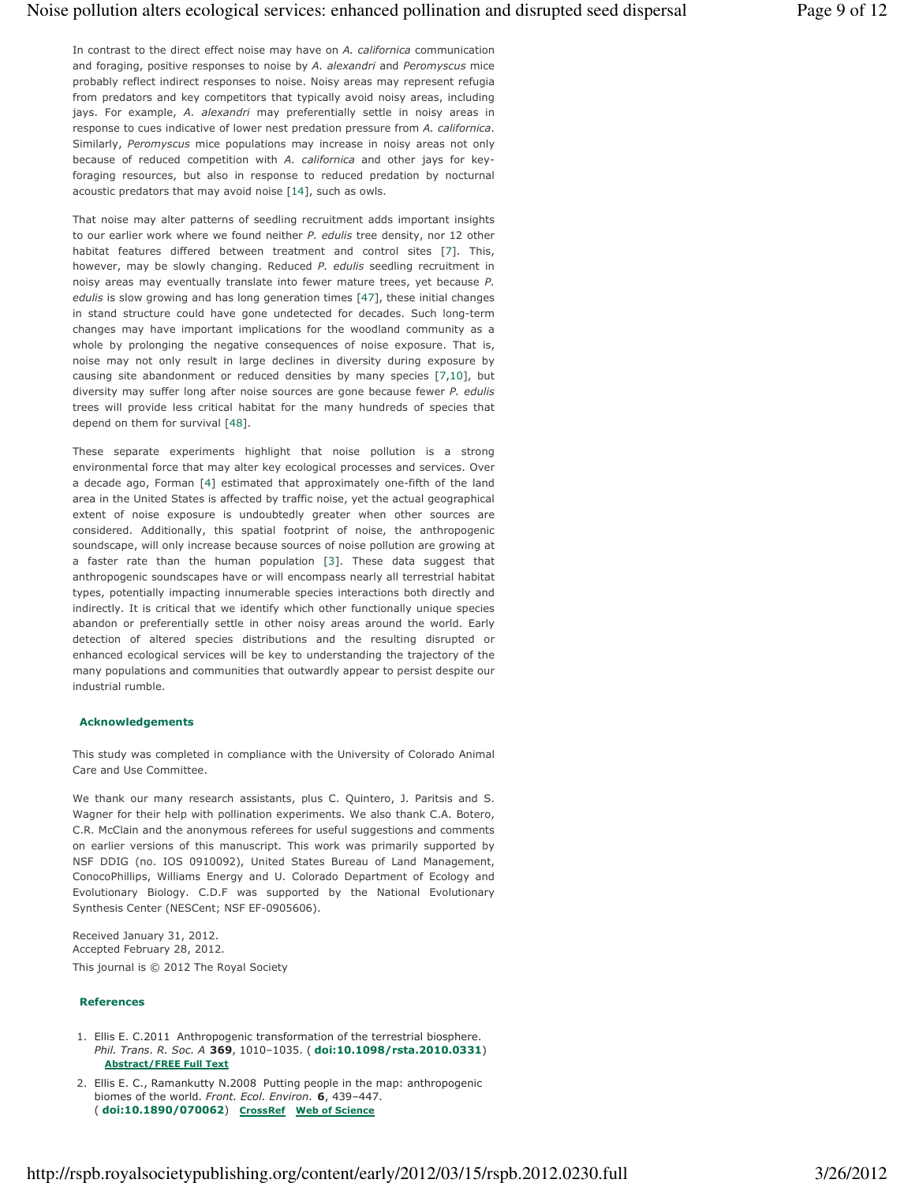In contrast to the direct effect noise may have on A. californica communication and foraging, positive responses to noise by A. alexandri and Peromyscus mice probably reflect indirect responses to noise. Noisy areas may represent refugia from predators and key competitors that typically avoid noisy areas, including jays. For example, A. alexandri may preferentially settle in noisy areas in response to cues indicative of lower nest predation pressure from A. californica. Similarly, Peromyscus mice populations may increase in noisy areas not only because of reduced competition with A. californica and other jays for keyforaging resources, but also in response to reduced predation by nocturnal acoustic predators that may avoid noise [14], such as owls.

That noise may alter patterns of seedling recruitment adds important insights to our earlier work where we found neither P. edulis tree density, nor 12 other habitat features differed between treatment and control sites [7]. This, however, may be slowly changing. Reduced P. edulis seedling recruitment in noisy areas may eventually translate into fewer mature trees, yet because P. edulis is slow growing and has long generation times [47], these initial changes in stand structure could have gone undetected for decades. Such long-term changes may have important implications for the woodland community as a whole by prolonging the negative consequences of noise exposure. That is, noise may not only result in large declines in diversity during exposure by causing site abandonment or reduced densities by many species [7,10], but diversity may suffer long after noise sources are gone because fewer P. edulis trees will provide less critical habitat for the many hundreds of species that depend on them for survival [48].

These separate experiments highlight that noise pollution is a strong environmental force that may alter key ecological processes and services. Over a decade ago, Forman [4] estimated that approximately one-fifth of the land area in the United States is affected by traffic noise, yet the actual geographical extent of noise exposure is undoubtedly greater when other sources are considered. Additionally, this spatial footprint of noise, the anthropogenic soundscape, will only increase because sources of noise pollution are growing at a faster rate than the human population [3]. These data suggest that anthropogenic soundscapes have or will encompass nearly all terrestrial habitat types, potentially impacting innumerable species interactions both directly and indirectly. It is critical that we identify which other functionally unique species abandon or preferentially settle in other noisy areas around the world. Early detection of altered species distributions and the resulting disrupted or enhanced ecological services will be key to understanding the trajectory of the many populations and communities that outwardly appear to persist despite our industrial rumble.

#### **Acknowledgements**

This study was completed in compliance with the University of Colorado Animal Care and Use Committee.

We thank our many research assistants, plus C. Quintero, J. Paritsis and S. Wagner for their help with pollination experiments. We also thank C.A. Botero, C.R. McClain and the anonymous referees for useful suggestions and comments on earlier versions of this manuscript. This work was primarily supported by NSF DDIG (no. IOS 0910092), United States Bureau of Land Management, ConocoPhillips, Williams Energy and U. Colorado Department of Ecology and Evolutionary Biology. C.D.F was supported by the National Evolutionary Synthesis Center (NESCent; NSF EF-0905606).

Received January 31, 2012. Accepted February 28, 2012. This journal is @ 2012 The Royal Society

#### **References**

- 1. Ellis E. C.2011 Anthropogenic transformation of the terrestrial biosphere. Phil. Trans. R. Soc. A 369, 1010-1035. (doi:10.1098/rsta.2010.0331) **Abstract/FREE Full Text**
- 2. Ellis E. C., Ramankutty N.2008 Putting people in the map: anthropogenic biomes of the world. Front. Ecol. Environ. 6, 439-447. (doi:10.1890/070062) CrossRef Web of Science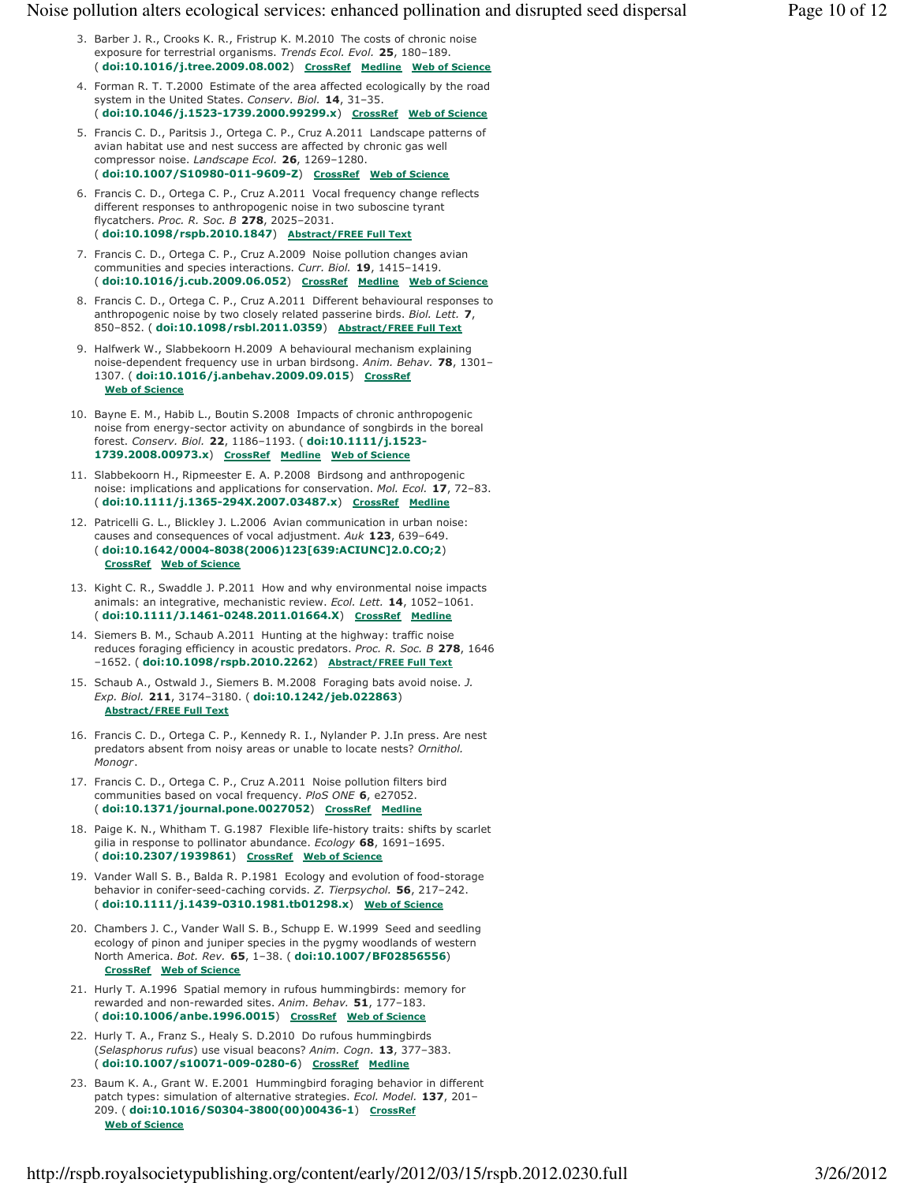- 3. Barber J. R., Crooks K. R., Fristrup K. M.2010 The costs of chronic noise exposure for terrestrial organisms. Trends Ecol. Evol. 25, 180-189. (doi:10.1016/j.tree.2009.08.002) CrossRef Medline Web of Science
- 4. Forman R. T. T.2000 Estimate of the area affected ecologically by the road system in the United States. Conserv. Biol. 14, 31-35. (doi:10.1046/j.1523-1739.2000.99299.x) CrossRef Web of Science
- 5. Francis C. D., Paritsis J., Ortega C. P., Cruz A.2011 Landscape patterns of avian habitat use and nest success are affected by chronic gas well compressor noise. Landscape Ecol. 26, 1269-1280. (doi:10.1007/S10980-011-9609-Z) CrossRef Web of Science
- 6. Francis C. D., Ortega C. P., Cruz A.2011 Vocal frequency change reflects different responses to anthropogenic noise in two suboscine tyrant flycatchers. Proc. R. Soc. B 278, 2025-2031. (doi:10.1098/rspb.2010.1847) Abstract/FREE Full Text
- 7. Francis C. D., Ortega C. P., Cruz A.2009 Noise pollution changes avian communities and species interactions. Curr. Biol. 19, 1415-1419. (doi:10.1016/j.cub.2009.06.052) CrossRef Medline Web of Science
- 8. Francis C. D., Ortega C. P., Cruz A.2011 Different behavioural responses to anthropogenic noise by two closely related passerine birds. Biol. Lett. 7, 850-852. (doi:10.1098/rsbl.2011.0359) Abstract/FREE Full Text
- 9. Halfwerk W., Slabbekoorn H.2009 A behavioural mechanism explaining noise-dependent frequency use in urban birdsong. Anim. Behav. 78, 1301-1307. (doi:10.1016/j.anbehav.2009.09.015) CrossRef **Web of Science**
- 10. Bayne E. M., Habib L., Boutin S.2008 Impacts of chronic anthropogenic noise from energy-sector activity on abundance of songbirds in the boreal forest. Conserv. Biol. 22, 1186-1193. (doi:10.1111/j.1523-1739.2008.00973.x) CrossRef Medline Web of Science
- 11. Slabbekoorn H., Ripmeester E. A. P.2008 Birdsong and anthropogenic noise: implications and applications for conservation. Mol. Ecol. 17, 72-83. (doi:10.1111/j.1365-294X.2007.03487.x) CrossRef Medline
- 12. Patricelli G. L., Blickley J. L.2006 Avian communication in urban noise: causes and consequences of vocal adjustment. Auk 123, 639-649. (doi:10.1642/0004-8038(2006)123[639:ACIUNC]2.0.CO;2) **CrossRef** Web of Science
- 13. Kight C. R., Swaddle J. P.2011 How and why environmental noise impacts animals: an integrative, mechanistic review. Ecol. Lett. 14, 1052-1061. (doi:10.1111/J.1461-0248.2011.01664.X) CrossRef Medline
- 14. Siemers B. M., Schaub A.2011 Hunting at the highway: traffic noise reduces foraging efficiency in acoustic predators. Proc. R. Soc. B 278, 1646 -1652. (doi:10.1098/rspb.2010.2262) Abstract/FREE Full Text
- 15. Schaub A., Ostwald J., Siemers B. M.2008 Foraging bats avoid noise. J. Exp. Biol. 211, 3174-3180. (doi:10.1242/jeb.022863) **Abstract/FREE Full Text**
- 16. Francis C. D., Ortega C. P., Kennedy R. I., Nylander P. J.In press. Are nest predators absent from noisy areas or unable to locate nests? Ornithol. Monoar.
- 17. Francis C. D., Ortega C. P., Cruz A.2011 Noise pollution filters bird communities based on vocal frequency. PloS ONE 6, e27052. (doi:10.1371/journal.pone.0027052) CrossRef Medline
- 18. Paige K. N., Whitham T. G.1987 Flexible life-history traits: shifts by scarlet gilia in response to pollinator abundance. Ecology 68, 1691-1695. (doi:10.2307/1939861) CrossRef Web of Science
- 19. Vander Wall S. B., Balda R. P.1981 Ecology and evolution of food-storage behavior in conifer-seed-caching corvids. Z. Tierpsychol. 56, 217-242. (doi:10.1111/j.1439-0310.1981.tb01298.x) Web of Science
- 20. Chambers J. C., Vander Wall S. B., Schupp E. W.1999 Seed and seedling ecology of pinon and juniper species in the pygmy woodlands of western North America. Bot. Rev. 65, 1-38. (doi:10.1007/BF02856556) **CrossRef** Web of Science
- 21. Hurly T. A.1996 Spatial memory in rufous hummingbirds: memory for rewarded and non-rewarded sites. Anim. Behav. 51, 177-183. (doi:10.1006/anbe.1996.0015) CrossRef Web of Science
- 22. Hurly T. A., Franz S., Healy S. D.2010 Do rufous hummingbirds (Selasphorus rufus) use visual beacons? Anim. Cogn. 13, 377-383. (doi:10.1007/s10071-009-0280-6) CrossRef Medline
- 23. Baum K. A., Grant W. E.2001 Hummingbird foraging behavior in different patch types: simulation of alternative strategies. Ecol. Model. 137, 201-209. (doi:10.1016/S0304-3800(00)00436-1) CrossRef **Web of Science**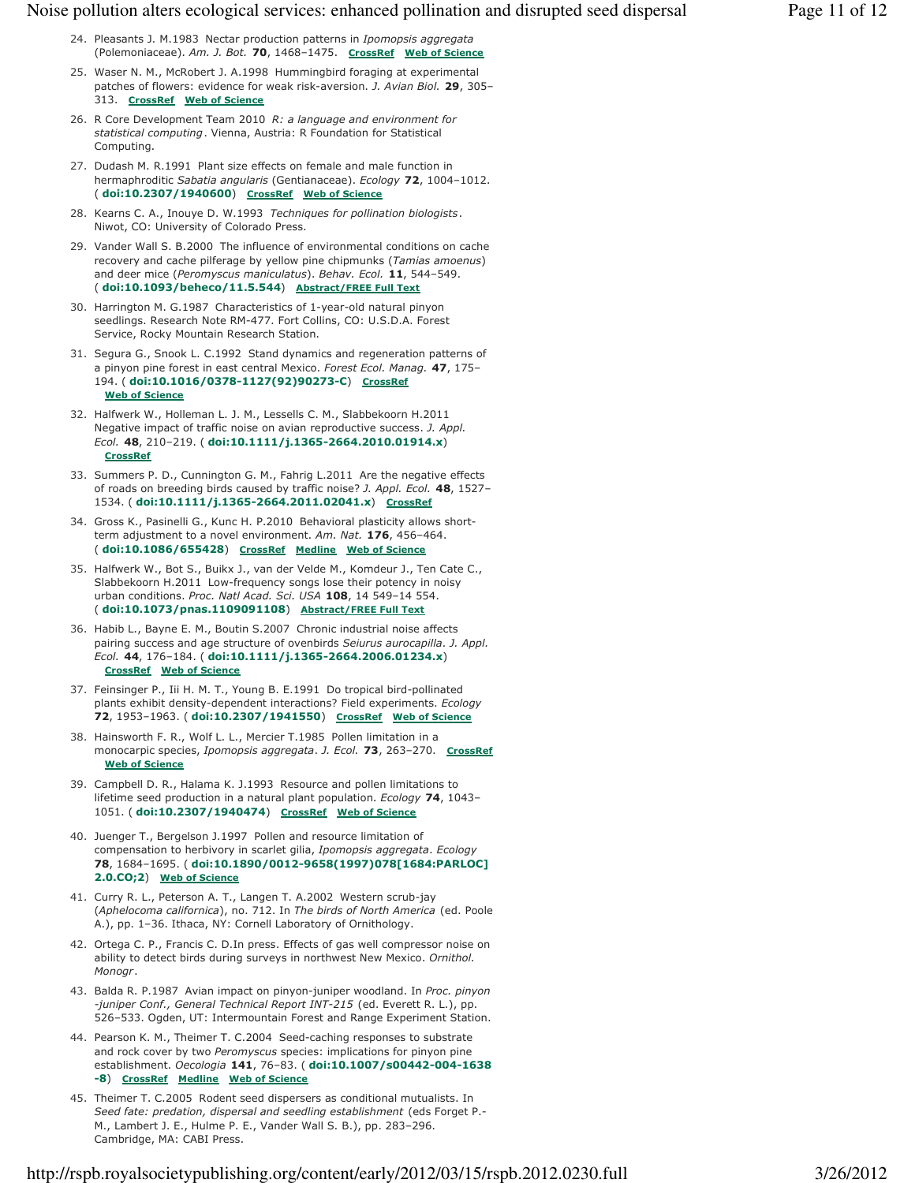## Noise pollution alters ecological services: enhanced pollination and disrupted seed dispersal

- 24. Pleasants J. M.1983 Nectar production patterns in Ipomopsis aggregata (Polemoniaceae). Am. J. Bot. 70, 1468-1475. CrossRef Web of Science
- 25. Waser N. M., McRobert J. A.1998 Hummingbird foraging at experimental patches of flowers: evidence for weak risk-aversion. J. Avian Biol. 29, 305-313. CrossRef Web of Science
- 26. R Core Development Team 2010 R: a language and environment for statistical computing. Vienna, Austria: R Foundation for Statistical Computing
- 27. Dudash M. R.1991 Plant size effects on female and male function in hermaphroditic Sabatia angularis (Gentianaceae). Ecology 72, 1004-1012. (doi:10.2307/1940600) CrossRef Web of Science
- 28. Kearns C. A., Inouye D. W.1993 Techniques for pollination biologists. Niwot, CO: University of Colorado Press.
- 29. Vander Wall S. B.2000 The influence of environmental conditions on cache recovery and cache pilferage by yellow pine chipmunks (Tamias amoenus) and deer mice (Peromyscus maniculatus). Behav. Ecol. 11, 544-549. (doi:10.1093/beheco/11.5.544) Abstract/FREE Full Text
- 30. Harrington M. G.1987 Characteristics of 1-year-old natural pinyon seedlings. Research Note RM-477. Fort Collins, CO: U.S.D.A. Forest Service, Rocky Mountain Research Station.
- 31. Segura G., Snook L. C.1992 Stand dynamics and regeneration patterns of a pinyon pine forest in east central Mexico. Forest Ecol. Manag. 47, 175-194. (doi:10.1016/0378-1127(92)90273-C) CrossRef **Web of Science**
- 32. Halfwerk W., Holleman L. J. M., Lessells C. M., Slabbekoorn H.2011 Negative impact of traffic noise on avian reproductive success. J. Appl. Ecol. 48, 210-219. (doi:10.1111/j.1365-2664.2010.01914.x) **CrossRef**
- 33. Summers P. D., Cunnington G. M., Fahrig L.2011 Are the negative effects of roads on breeding birds caused by traffic noise? J. Appl. Ecol. 48, 1527-1534. (doi:10.1111/j.1365-2664.2011.02041.x) CrossRef
- 34. Gross K., Pasinelli G., Kunc H. P.2010 Behavioral plasticity allows shortterm adjustment to a novel environment. Am. Nat. 176, 456-464. (doi:10.1086/655428) CrossRef Medline Web of Science
- 35. Halfwerk W., Bot S., Buikx J., van der Velde M., Komdeur J., Ten Cate C., Slabbekoorn H.2011 Low-frequency songs lose their potency in noisy urban conditions. Proc. Natl Acad. Sci. USA 108, 14 549-14 554. (doi:10.1073/pnas.1109091108) Abstract/FREE Full Text
- 36. Habib L., Bayne E. M., Boutin S.2007 Chronic industrial noise affects pairing success and age structure of ovenbirds Seiurus aurocapilla. J. Appl. Ecol. 44, 176-184. (doi:10.1111/j.1365-2664.2006.01234.x) **CrossRef** Web of Science
- 37. Feinsinger P., Iii H. M. T., Young B. E.1991 Do tropical bird-pollinated plants exhibit density-dependent interactions? Field experiments. Ecology 72, 1953-1963. (doi:10.2307/1941550) CrossRef Web of Science
- 38. Hainsworth F. R., Wolf L. L., Mercier T.1985 Pollen limitation in a monocarpic species, Ipomopsis aggregata. J. Ecol. 73, 263-270. CrossRef **Web of Science**
- 39. Campbell D. R., Halama K. J.1993 Resource and pollen limitations to lifetime seed production in a natural plant population. Ecology 74, 1043-1051. (doi:10.2307/1940474) CrossRef Web of Science
- 40. Juenger T., Bergelson J.1997 Pollen and resource limitation of compensation to herbivory in scarlet gilia, Ipomopsis aggregata. Ecology 78, 1684-1695. (doi:10.1890/0012-9658(1997)078[1684:PARLOC] 2.0.CO;2) Web of Science
- 41. Curry R. L., Peterson A. T., Langen T. A.2002 Western scrub-jay (Aphelocoma californica), no. 712. In The birds of North America (ed. Poole A.), pp. 1-36. Ithaca, NY: Cornell Laboratory of Ornithology.
- 42. Ortega C. P., Francis C. D. In press. Effects of gas well compressor noise on ability to detect birds during surveys in northwest New Mexico. Ornithol. Monogr.
- 43. Balda R. P.1987 Avian impact on pinyon-juniper woodland. In Proc. pinyon -juniper Conf., General Technical Report INT-215 (ed. Everett R. L.), pp. 526-533. Ogden, UT: Intermountain Forest and Range Experiment Station.
- 44. Pearson K. M., Theimer T. C.2004 Seed-caching responses to substrate and rock cover by two Peromyscus species: implications for pinyon pine establishment. Oecologia 141, 76-83. (doi:10.1007/s00442-004-1638 -8) CrossRef Medline Web of Science
- 45. Theimer T. C.2005 Rodent seed dispersers as conditional mutualists. In Seed fate: predation, dispersal and seedling establishment (eds Forget P .-M., Lambert J. E., Hulme P. E., Vander Wall S. B.), pp. 283-296. Cambridge, MA: CABI Press.